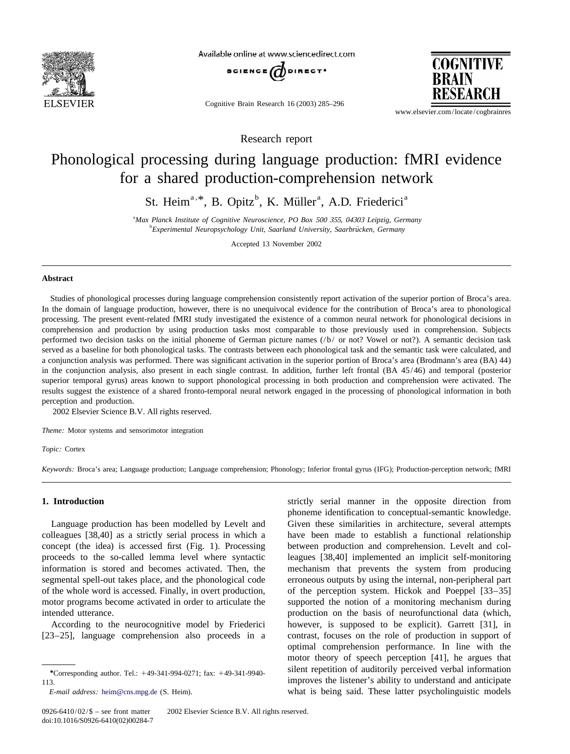

Available online at www.sciencedirect.com



Cognitive Brain Research 16 (2003) 285–296

www.elsevier.com/locate/cogbrainres

**RRAIN** 

**COGNITIVE** 

**RESEARCH** 

Research report

# Phonological processing during language production: fMRI evidence for a shared production-comprehension network

St. Heim<sup>a, \*</sup>, B. Opitz<sup>b</sup>, K. Müller<sup>a</sup>, A.D. Friederici<sup>a</sup>

a *Max Planck Institute of Cognitive Neuroscience*, *PO Box* <sup>500</sup> 355, <sup>04303</sup> *Leipzig*, *Germany* <sup>b</sup> Experimental Neuropsychology Unit, Saarland University, Saarbrücken, Germany

Accepted 13 November 2002

## **Abstract**

Studies of phonological processes during language comprehension consistently report activation of the superior portion of Broca's area. In the domain of language production, however, there is no unequivocal evidence for the contribution of Broca's area to phonological processing. The present event-related fMRI study investigated the existence of a common neural network for phonological decisions in comprehension and production by using production tasks most comparable to those previously used in comprehension. Subjects performed two decision tasks on the initial phoneme of German picture names (/b/ or not? Vowel or not?). A semantic decision task served as a baseline for both phonological tasks. The contrasts between each phonological task and the semantic task were calculated, and a conjunction analysis was performed. There was significant activation in the superior portion of Broca's area (Brodmann's area (BA) 44) in the conjunction analysis, also present in each single contrast. In addition, further left frontal (BA 45/46) and temporal (posterior superior temporal gyrus) areas known to support phonological processing in both production and comprehension were activated. The results suggest the existence of a shared fronto-temporal neural network engaged in the processing of phonological information in both perception and production.

2002 Elsevier Science B.V. All rights reserved.

*Theme*: Motor systems and sensorimotor integration

*Topic*: Cortex

*Keywords*: Broca's area; Language production; Language comprehension; Phonology; Inferior frontal gyrus (IFG); Production-perception network; fMRI

colleagues [38,40] as a strictly serial process in which a have been made to establish a functional relationship concept (the idea) is accessed first (Fig. 1). Processing between production and comprehension. Levelt and colproceeds to the so-called lemma level where syntactic leagues [38,40] implemented an implicit self-monitoring information is stored and becomes activated. Then, the mechanism that prevents the system from producing segmental spell-out takes place, and the phonological code erroneous outputs by using the internal, non-peripheral part of the whole word is accessed. Finally, in overt production, of the perception system. Hickok and Poeppel [33–35] motor programs become activated in order to articulate the supported the notion of a monitoring mechanism during intended utterance. production on the basis of neurofunctional data (which,

[23–25], language comprehension also proceeds in a contrast, focuses on the role of production in support of

**1. Introduction** strictly serial manner in the opposite direction from phoneme identification to conceptual-semantic knowledge. Language production has been modelled by Levelt and Given these similarities in architecture, several attempts According to the neurocognitive model by Friederici however, is supposed to be explicit). Garrett [31], in optimal comprehension performance. In line with the motor theory of speech perception [41], he argues that silent repetition of auditorily perceived verbal information *\**Corresponding author. Tel.: <sup>1</sup>49-341-994-0271; fax: <sup>1</sup>49-341-9940- 113. **improves the listener's ability to understand and anticipate** *E*-*mail address*: [heim@cns.mpg.de](mailto:heim@cns.mpg.de) (S. Heim). what is being said. These latter psycholinguistic models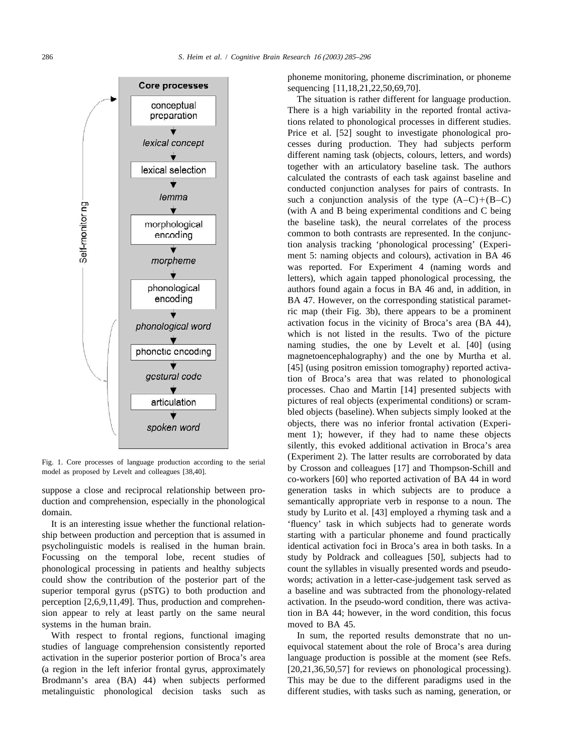

ship between production and perception that is assumed in starting with a particular phoneme and found practically psycholinguistic models is realised in the human brain. identical activation foci in Broca's area in both tasks. In a Focussing on the temporal lobe, recent studies of study by Poldrack and colleagues [50], subjects had to phonological processing in patients and healthy subjects count the syllables in visually presented words and pseudocould show the contribution of the posterior part of the words; activation in a letter-case-judgement task served as superior temporal gyrus (pSTG) to both production and a baseline and was subtracted from the phonology-related perception [2,6,9,11,49]. Thus, production and comprehen- activation. In the pseudo-word condition, there was activasion appear to rely at least partly on the same neural tion in BA 44; however, in the word condition, this focus systems in the human brain. The moved to BA 45.

studies of language comprehension consistently reported equivocal statement about the role of Broca's area during activation in the superior posterior portion of Broca's area language production is possible at the moment (see Refs. (a region in the left inferior frontal gyrus, approximately [20,21,36,50,57] for reviews on phonological processing). Brodmann's area (BA) 44) when subjects performed This may be due to the different paradigms used in the metalinguistic phonological decision tasks such as different studies, with tasks such as naming, generation, or

phoneme monitoring, phoneme discrimination, or phoneme sequencing [11,18,21,22,50,69,70].

The situation is rather different for language production. There is a high variability in the reported frontal activations related to phonological processes in different studies. Price et al. [52] sought to investigate phonological processes during production. They had subjects perform different naming task (objects, colours, letters, and words) together with an articulatory baseline task. The authors calculated the contrasts of each task against baseline and conducted conjunction analyses for pairs of contrasts. In such a conjunction analysis of the type  $(A-C)+(B-C)$ (with A and B being experimental conditions and C being the baseline task), the neural correlates of the process common to both contrasts are represented. In the conjunction analysis tracking 'phonological processing' (Experiment 5: naming objects and colours), activation in BA 46 was reported. For Experiment 4 (naming words and letters), which again tapped phonological processing, the authors found again a focus in BA 46 and, in addition, in BA 47. However, on the corresponding statistical parametric map (their Fig. 3b), there appears to be a prominent activation focus in the vicinity of Broca's area (BA 44), which is not listed in the results. Two of the picture naming studies, the one by Levelt et al. [40] (using magnetoencephalography) and the one by Murtha et al. [45] (using positron emission tomography) reported activation of Broca's area that was related to phonological processes. Chao and Martin [14] presented subjects with pictures of real objects (experimental conditions) or scrambled objects (baseline). When subjects simply looked at the objects, there was no inferior frontal activation (Experiment 1); however, if they had to name these objects silently, this evoked additional activation in Broca's area Fig. 1. Core processes of language production according to the serial (Experiment 2). The latter results are corroborated by data by Crosson and colleagues [17] and Thompson-Schill and model as proposed by Levelt and colle co-workers [60] who reported activation of BA 44 in word suppose a close and reciprocal relationship between pro- generation tasks in which subjects are to produce a duction and comprehension, especially in the phonological semantically appropriate verb in response to a noun. The domain. study by Lurito et al. [43] employed a rhyming task and a It is an interesting issue whether the functional relation- 'fluency' task in which subjects had to generate words

With respect to frontal regions, functional imaging In sum, the reported results demonstrate that no un-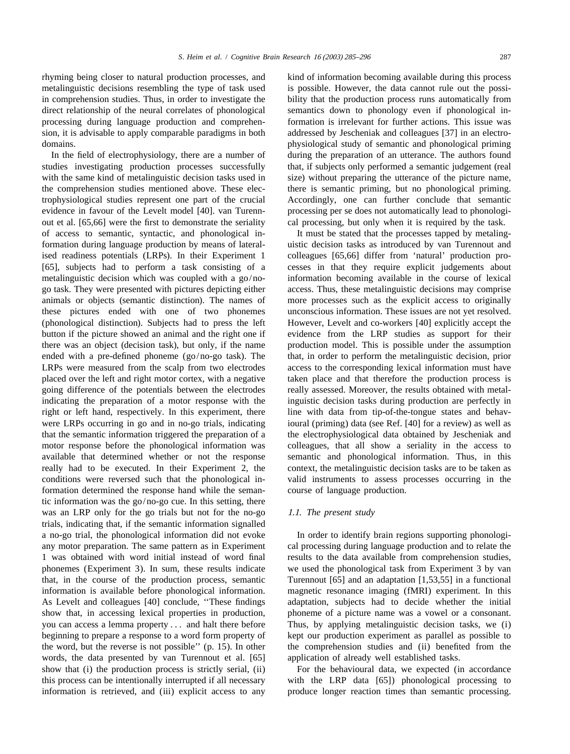rhyming being closer to natural production processes, and kind of information becoming available during this process metalinguistic decisions resembling the type of task used is possible. However, the data cannot rule out the possiin comprehension studies. Thus, in order to investigate the bility that the production process runs automatically from direct relationship of the neural correlates of phonological semantics down to phonology even if phonological inprocessing during language production and comprehen- formation is irrelevant for further actions. This issue was sion, it is advisable to apply comparable paradigms in both addressed by Jescheniak and colleagues [37] in an electrodomains. **physiological study of semantic and phonological priming** 

studies investigating production processes successfully that, if subjects only performed a semantic judgement (real with the same kind of metalinguistic decision tasks used in size) without preparing the utterance of the picture name, the comprehension studies mentioned above. These elec- there is semantic priming, but no phonological priming. trophysiological studies represent one part of the crucial Accordingly, one can further conclude that semantic evidence in favour of the Levelt model [40]. van Turenn- processing per se does not automatically lead to phonologiout et al. [65,66] were the first to demonstrate the seriality cal processing, but only when it is required by the task. of access to semantic, syntactic, and phonological in- It must be stated that the processes tapped by metalingformation during language production by means of lateral- uistic decision tasks as introduced by van Turennout and ised readiness potentials (LRPs). In their Experiment 1 colleagues [65,66] differ from 'natural' production pro- [65], subjects had to perform a task consisting of a cesses in that they require explicit judgements about metalinguistic decision which was coupled with a go/no- information becoming available in the course of lexical go task. They were presented with pictures depicting either access. Thus, these metalinguistic decisions may comprise animals or objects (semantic distinction). The names of more processes such as the explicit access to originally these pictures ended with one of two phonemes unconscious information. These issues are not yet resolved. (phonological distinction). Subjects had to press the left However, Levelt and co-workers [40] explicitly accept the button if the picture showed an animal and the right one if evidence from the LRP studies as support for their there was an object (decision task), but only, if the name production model. This is possible under the assumption ended with a pre-defined phoneme (go/no-go task). The that, in order to perform the metalinguistic decision, prior LRPs were measured from the scalp from two electrodes access to the corresponding lexical information must have placed over the left and right motor cortex, with a negative taken place and that therefore the production process is going difference of the potentials between the electrodes really assessed. Moreover, the results obtained with metalindicating the preparation of a motor response with the inguistic decision tasks during production are perfectly in right or left hand, respectively. In this experiment, there line with data from tip-of-the-tongue states and behavwere LRPs occurring in go and in no-go trials, indicating ioural (priming) data (see Ref. [40] for a review) as well as that the semantic information triggered the preparation of a the electrophysiological data obtained by Jescheniak and motor response before the phonological information was colleagues, that all show a seriality in the access to available that determined whether or not the response semantic and phonological information. Thus, in this really had to be executed. In their Experiment 2, the context, the metalinguistic decision tasks are to be taken as conditions were reversed such that the phonological in- valid instruments to assess processes occurring in the formation determined the response hand while the seman- course of language production. tic information was the go/no-go cue. In this setting, there was an LRP only for the go trials but not for the no-go 1.1. *The present study* trials, indicating that, if the semantic information signalled a no-go trial, the phonological information did not evoke In order to identify brain regions supporting phonologiany motor preparation. The same pattern as in Experiment cal processing during language production and to relate the 1 was obtained with word initial instead of word final results to the data available from comprehension studies, phonemes (Experiment 3). In sum, these results indicate we used the phonological task from Experiment 3 by van that, in the course of the production process, semantic Turennout [65] and an adaptation [1,53,55] in a functional information is available before phonological information. magnetic resonance imaging (fMRI) experiment. In this As Levelt and colleagues [40] conclude, ''These findings adaptation, subjects had to decide whether the initial show that, in accessing lexical properties in production, phoneme of a picture name was a vowel or a consonant. you can access a lemma property . . . and halt there before Thus, by applying metalinguistic decision tasks, we (i) beginning to prepare a response to a word form property of kept our production experiment as parallel as possible to the word, but the reverse is not possible'' (p. 15). In other the comprehension studies and (ii) benefited from the words, the data presented by van Turennout et al. [65] application of already well established tasks. show that (i) the production process is strictly serial, (ii) For the behavioural data, we expected (in accordance this process can be intentionally interrupted if all necessary with the LRP data [65]) phonological processing to information is retrieved, and (iii) explicit access to any produce longer reaction times than semantic processing.

In the field of electrophysiology, there are a number of during the preparation of an utterance. The authors found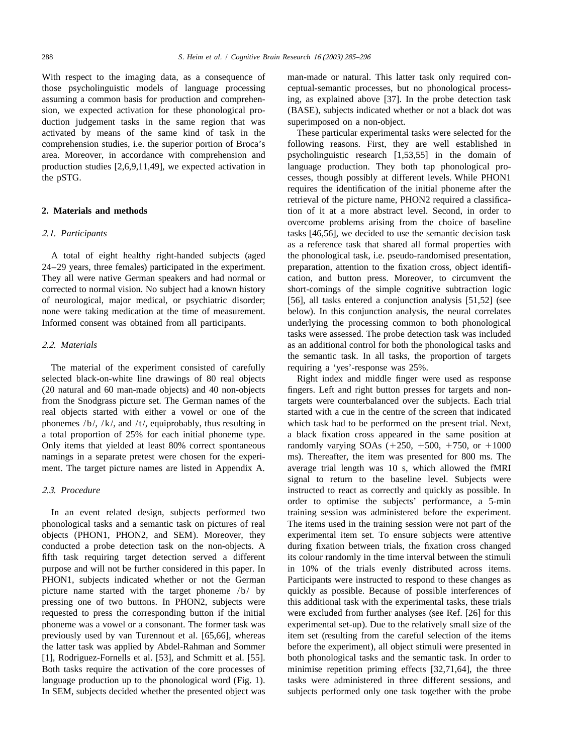those psycholinguistic models of language processing ceptual-semantic processes, but no phonological processassuming a common basis for production and comprehen- ing, as explained above [37]. In the probe detection task sion, we expected activation for these phonological pro- (BASE), subjects indicated whether or not a black dot was duction judgement tasks in the same region that was superimposed on a non-object. activated by means of the same kind of task in the These particular experimental tasks were selected for the comprehension studies, i.e. the superior portion of Broca's following reasons. First, they are well established in area. Moreover, in accordance with comprehension and psycholinguistic research [1,53,55] in the domain of production studies [2,6,9,11,49], we expected activation in language production. They both tap phonological prothe pSTG. cesses, though possibly at different levels. While PHON1

24–29 years, three females) participated in the experiment. preparation, attention to the fixation cross, object identifi-They all were native German speakers and had normal or cation, and button press. Moreover, to circumvent the corrected to normal vision. No subject had a known history short-comings of the simple cognitive subtraction logic of neurological, major medical, or psychiatric disorder; [56], all tasks entered a conjunction analysis [51,52] (see none were taking medication at the time of measurement. below). In this conjunction analysis, the neural correlates Informed consent was obtained from all participants. underlying the processing common to both phonological

The material of the experiment consisted of carefully requiring a 'yes'-response was 25%. selected black-on-white line drawings of 80 real objects Right index and middle finger were used as response

phonological tasks and a semantic task on pictures of real The items used in the training session were not part of the objects (PHON1, PHON2, and SEM). Moreover, they experimental item set. To ensure subjects were attentive conducted a probe detection task on the non-objects. A during fixation between trials, the fixation cross changed purpose and will not be further considered in this paper. In in 10% of the trials evenly distributed across items. PHON1, subjects indicated whether or not the German Participants were instructed to respond to these changes as picture name started with the target phoneme /b/ by quickly as possible. Because of possible interferences of pressing one of two buttons. In PHON2, subjects were this additional task with the experimental tasks, these trials requested to press the corresponding button if the initial were excluded from further analyses (see Ref. [26] for this phoneme was a vowel or a consonant. The former task was experimental set-up). Due to the relatively small size of the previously used by van Turennout et al. [65,66], whereas item set (resulting from the careful selection of the items the latter task was applied by Abdel-Rahman and Sommer before the experiment), all object stimuli were presented in [1], Rodriguez-Fornells et al. [53], and Schmitt et al. [55]. both phonological tasks and the semantic task. In order to Both tasks require the activation of the core processes of minimise repetition priming effects [32,71,64], the three language production up to the phonological word (Fig. 1). tasks were administered in three different sessions, and In SEM, subjects decided whether the presented object was subjects performed only one task together with the probe

With respect to the imaging data, as a consequence of man-made or natural. This latter task only required con-

requires the identification of the initial phoneme after the retrieval of the picture name, PHON2 required a classifica-**2. Materials and methods** tion of it at a more abstract level. Second, in order to overcome problems arising from the choice of baseline 2 .1. *Participants* tasks [46,56], we decided to use the semantic decision task as a reference task that shared all formal properties with A total of eight healthy right-handed subjects (aged the phonological task, i.e. pseudo-randomised presentation, tasks were assessed. The probe detection task was included 2 .2. *Materials* as an additional control for both the phonological tasks and the semantic task. In all tasks, the proportion of targets

(20 natural and 60 man-made objects) and 40 non-objects fingers. Left and right button presses for targets and nonfrom the Snodgrass picture set. The German names of the targets were counterbalanced over the subjects. Each trial real objects started with either a vowel or one of the started with a cue in the centre of the screen that indicated phonemes /b/, /k/, and /t/, equiprobably, thus resulting in which task had to be performed on the present trial. Next, a total proportion of 25% for each initial phoneme type. a black fixation cross appeared in the same position at Only items that yielded at least 80% correct spontaneous randomly varying SOAs  $(+250, +500, +750,$  or  $+1000$ namings in a separate pretest were chosen for the experi-<br>ms). Thereafter, the item was presented for 800 ms. The ment. The target picture names are listed in Appendix A. average trial length was 10 s, which allowed the fMRI signal to return to the baseline level. Subjects were 2 .3. *Procedure* instructed to react as correctly and quickly as possible. In order to optimise the subjects' performance, a 5-min In an event related design, subjects performed two training session was administered before the experiment. fifth task requiring target detection served a different its colour randomly in the time interval between the stimuli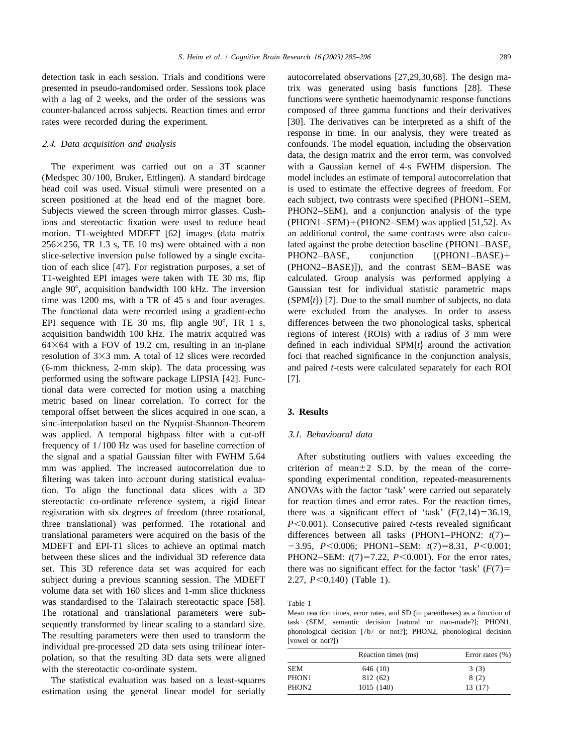detection task in each session. Trials and conditions were autocorrelated observations [27,29,30,68]. The design mapresented in pseudo-randomised order. Sessions took place trix was generated using basis functions [28]. These with a lag of 2 weeks, and the order of the sessions was functions were synthetic haemodynamic response functions counter-balanced across subjects. Reaction times and error composed of three gamma functions and their derivatives rates were recorded during the experiment. [30]. The derivatives can be interpreted as a shift of the

(Medspec 30/100, Bruker, Ettlingen). A standard birdcage model includes an estimate of temporal autocorrelation that head coil was used. Visual stimuli were presented on a is used to estimate the effective degrees of freedom. For screen positioned at the head end of the magnet bore. each subject, two contrasts were specified (PHON1–SEM, Subjects viewed the screen through mirror glasses. Cush- PHON2–SEM), and a conjunction analysis of the type ions and stereotactic fixation were used to reduce head (PHON1–SEM)+(PHON2–SEM) was applied [51,52]. As motion. T1-weighted MDEFT [62] images (data matrix an additional control, the same contrasts were also calcu-256×256, TR 1.3 s, TE 10 ms) were obtained with a non lated against the probe detection baseline (PHON1–BASE, slice-selective inversion pulse followed by a single excita-<br>PHON2–BASE, conjunction [(PHON1–BASE)+ tion of each slice [47]. For registration purposes, a set of (PHON2–BASE)]), and the contrast SEM–BASE was T1-weighted EPI images were taken with TE 30 ms, flip calculated. Group analysis was performed applying a angle 90°, acquisition bandwidth 100 kHz. The inversion Gaussian test for individual statistic parametric maps time was 1200 ms, with a TR of 45 s and four averages. (SPM $\{t\}$ ) [7]. Due to the small number of subjects, no data The functional data were recorded using a gradient-echo were excluded from the analyses. In order to assess EPI sequence with TE 30 ms, flip angle  $90^\circ$ , TR 1 s, differences between the two phonological tasks, spherical acquisition bandwidth 100 kHz. The matrix acquired was regions of interest (ROIs) with a radius of 3 mm were 64 $\times$ 64 with a FOV of 19.2 cm, resulting in an in-plane defined in each individual SPM $\{t\}$  around the activation resolution of  $3\times3$  mm. A total of 12 slices were recorded foci that reached significance in the conjunction analysis, (6-mm thickness, 2-mm skip). The data processing was and paired *t*-tests were calculated separately for each ROI performed using the software package LIPSIA [42]. Func- [7]. tional data were corrected for motion using a matching metric based on linear correlation. To correct for the temporal offset between the slices acquired in one scan, a **3. Results** sinc-interpolation based on the Nyquist-Shannon-Theorem was applied. A temporal highpass filter with a cut-off 3 .1. *Behavioural data* frequency of 1/100 Hz was used for baseline correction of the signal and a spatial Gaussian filter with FWHM 5.64 After substituting outliers with values exceeding the mm was applied. The increased autocorrelation due to criterion of mean $\pm 2$  S.D. by the mean of the correfiltering was taken into account during statistical evalua- sponding experimental condition, repeated-measurements tion. To align the functional data slices with a 3D ANOVAs with the factor 'task' were carried out separately stereotactic co-ordinate reference system, a rigid linear for reaction times and error rates. For the reaction times, registration with six degrees of freedom (three rotational, there was a significant effect of 'task'  $(F(2,14)=36.19,$ three translational) was performed. The rotational and  $P \le 0.001$ ). Consecutive paired *t*-tests revealed significant translational parameters were acquired on the basis of the differences between all tasks (PHON1–PHON2: *t*(7)= MDEFT and EPI-T1 slices to achieve an optimal match  $-3.95$ ,  $P<0.006$ ; PHON1–SEM:  $t(7)=8.31$ ,  $P<0.001$ ; between these slices and the individual 3D reference data PHON2–SEM:  $t(7)=7.22$ ,  $P<0.001$ ). For the error rates, set. This 3D reference data set was acquired for each there was no significant effect for the factor 'task'  $(F(7))$ = subject during a previous scanning session. The MDEFT  $2.27, P<0.140$  (Table 1). volume data set with 160 slices and 1-mm slice thickness was standardised to the Talairach stereotactic space [58]. Table 1 The rotational and translational parameters were sub-<br>
Mean reaction times, error rates, and SD (in parentheses) as a function of<br>
sequently transformed by linear scaling to a standard size<br>
task (SEM, semantic decision [n sequently transformed by linear scaling to a standard size.<br>
The resulting parameters were then used to transform the<br>
individual pre-processed 2D data sets using trilinear inter-<br>
individual pre-processed 2D data sets usi polation, so that the resulting 3D data sets were aligned with the stereotactic co-ordinate system.

The statistical evaluation was based on a least-squares estimation using the general linear model for serially

response in time. In our analysis, they were treated as 2 .4. *Data acquisition and analysis* confounds. The model equation, including the observation data, the design matrix and the error term, was convolved The experiment was carried out on a 3T scanner with a Gaussian kernel of 4-s FWHM dispersion. The

|            | Reaction times (ms) | Error rates $(\% )$ |
|------------|---------------------|---------------------|
| <b>SEM</b> | 646 (10)            | 3(3)                |
| PHON1      | 812 (62)            | 8(2)                |
| PHON2      | 1015(140)           | 13(17)              |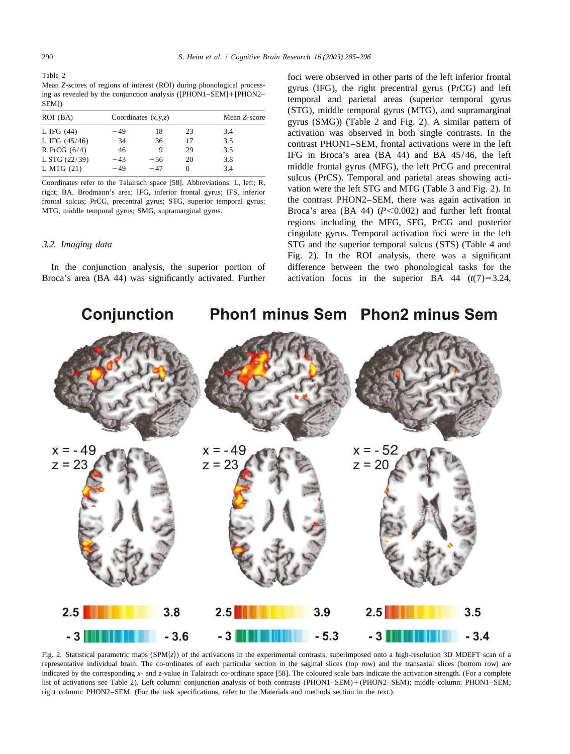Table 2 foci were observed in other parts of the left inferior frontal<br>Mean Z-scores of regions of interest (ROI) during phonological process-<br>
THEO, the right process-<br>
THEO, the right process-

| ROI (BA)        |       | Coordinates $(x, y, z)$ |    |     |  |  |
|-----------------|-------|-------------------------|----|-----|--|--|
| L IFG $(44)$    | $-49$ | 18                      | 23 | 3.4 |  |  |
| L IFG $(45/46)$ | $-34$ | 36                      | 17 | 3.5 |  |  |
| R PrCG $(6/4)$  | 46    | 9                       | 29 | 3.5 |  |  |
| L STG $(22/39)$ | $-43$ | $-56$                   | 20 | 3.8 |  |  |
| L MTG $(21)$    | $-49$ | $-47$                   |    | 3.4 |  |  |

Broca's area (BA 44) was significantly activated. Further activation focus in the superior BA 44  $(t(7)=3.24,$ 

Mean Z-scores of regions of interest (ROI) during phonological process-<br>ing as revealed by the conjunction analysis ([PHON1–SEM]+[PHON2–<br>SEMI) server and particle areas (superior temporal gyrus (IFG), the right precentral (STG), middle temporal gyrus (MTG), and supramarginal gyrus (SMG)) (Table 2 and Fig. 2). A similar pattern of activation was observed in both single contrasts. In the contrast PHON1–SEM, frontal activations were in the left IFG in Broca's area (BA 44) and BA 45/46, the left middle frontal gyrus (MFG), the left PrCG and precentral Coordinates refer to the Talairach space [58]. Abbreviations: L, left; R,<br>right; BA, Brodmann's area; IFG, inferior frontal gyrus; IFS, inferior vation were the left STG and MTG (Table 3 and Fig. 2). In frontal sulcus; PrCG, precentral gyrus; STG, superior temporal gyrus; the contrast PHON2–SEM, there was again activation in MTG, middle temporal gyrus; SMG, supramarginal gyrus. Broca's area (BA 44) (*P*<0.002) and further left frontal regions including the MFG, SFG, PrCG and posterior cingulate gyrus. Temporal activation foci were in the left 3 .2. *Imaging data* STG and the superior temporal sulcus (STS) (Table 4 and Fig. 2). In the ROI analysis, there was a significant In the conjunction analysis, the superior portion of difference between the two phonological tasks for the



Fig. 2. Statistical parametric maps  $(SPM\{z\})$  of the activations in the experimental contrasts, superimposed onto a high-resolution 3D MDEFT scan of a representative individual brain. The co-ordinates of each particular section in the sagittal slices (top row) and the transaxial slices (bottom row) are indicated by the corresponding *x*- and *z*-value in Talairach co-ordinate space [58]. The coloured scale bars indicate the activation strength. (For a complete list of activations see Table 2). Left column: conjunction analysis of both contrasts (PHON1–SEM)+(PHON2–SEM); middle column: PHON1–SEM; right column: PHON2–SEM. (For the task specifications, refer to the Materials and methods section in the text.).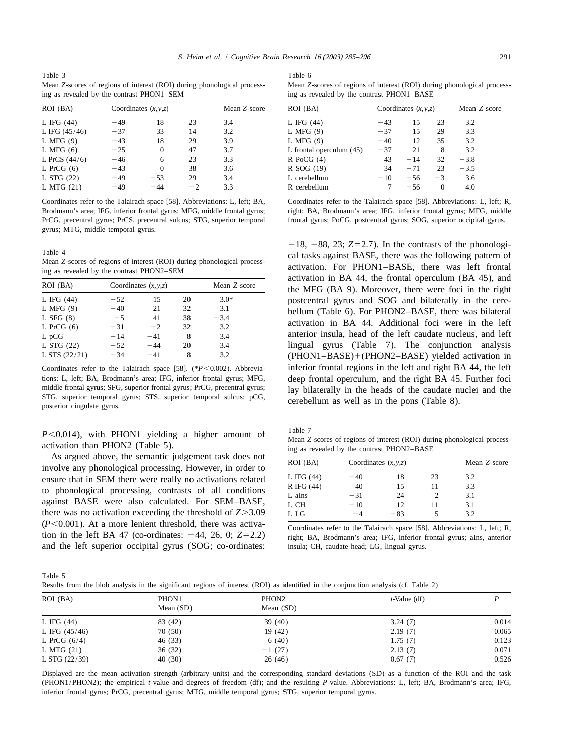Table 3 Table 6 Mean *Z*-scores of regions of interest (ROI) during phonological process- Mean *Z*-scores of regions of interest (ROI) during phonological processing as revealed by the contrast PHON1–SEM ing as revealed by the contrast PHON1–BASE

| Mean Z-score                                               |
|------------------------------------------------------------|
|                                                            |
|                                                            |
|                                                            |
|                                                            |
|                                                            |
|                                                            |
|                                                            |
|                                                            |
| 3.2<br>3.3<br>3.2<br>3.2<br>$-3.8$<br>$-3.5$<br>3.6<br>4.0 |

Coordinates refer to the Talairach space [58]. Abbreviations: L, left; BA, Coordinates refer to the Talairach space [58]. Abbreviations: L, left; R, Brodmann's area; IFG, inferior frontal gyrus; MFG, middle frontal gyrus; right; BA, Brodmann's area; IFG, inferior frontal gyrus; MFG, middle PrCG, precentral gyrus; PrCS, precentral sulcus; STG, superior temporal frontal gyrus; PoCG, postcentral gyrus; SOG, superior occipital gyrus. gyrus; MTG, middle temporal gyrus.

| ROI (BA)        |       | Coordinates $(x, y, z)$ | Mean Z-score |        |
|-----------------|-------|-------------------------|--------------|--------|
| L IFG $(44)$    | $-52$ | 15                      | 20           | $3.0*$ |
| L MFG $(9)$     | $-40$ | 21                      | 32           | 3.1    |
| L SFG $(8)$     | $-5$  | 41                      | 38           | $-3.4$ |
| L PrCG $(6)$    | $-31$ | $-2$                    | 32           | 3.2    |
| L pCG           | $-14$ | $-41$                   | 8            | 3.4    |
| L STG $(22)$    | $-52$ | $-44$                   | 20           | 3.4    |
| L STS $(22/21)$ | $-34$ | $-41$                   | 8            | 3.2    |

tions: L, left; BA, Brodmann's area; IFG, inferior frontal gyrus; MFG, deep frontal operculum, and the right BA 45. Further foci middle frontal gyrus; SFG, superior frontal gyrus; PrCG, precentral gyrus;<br>STG, superior temporal gyrus; STS, superior temporal sulcus; pCG,<br>posterior cingulate gyrus. STS, superior temporal sulcus; pCG,<br>posterior cingulat

 $P < 0.014$ ), with PHON1 yielding a higher amount of Mean *Z*-scores of regions of interest (ROI) during phonological process-<br>activation than PHON2 (Table 5).<br>As argued above, the semantic judgement task does not

involve any phonological processing. However, in order to ensure that in SEM there were really no activations related to phonological processing, contrasts of all conditions against BASE were also calculated. For SEM-BASE, there was no activation exceeding the threshold of  $Z$  $>$ 3.09 (*P*<0.001). At a more lenient threshold, there was activa-<br>Coordinates refer to the Talairach space [58]. Abbreviations: L, left; R, tion in the left BA 47 (co-ordinates:  $-44$ , 26, 0;  $Z=2.2$ ) right; BA, Brodmann's area; IFG, inferior frontal gyrus; aIns, anterior and the left superior occipital gyrus (SOG; co-ordinates: insula; CH, caudate head; LG, lingual gyrus.

| ROI (BA)                   | Coordinates $(x, y, z)$ |       |          | Mean Z-score |  |
|----------------------------|-------------------------|-------|----------|--------------|--|
| L IFG $(44)$               | $-43$                   | 15    | 23       | 3.2          |  |
| $L$ MFG $(9)$              | $-37$                   | 15    | 29       | 3.3          |  |
| $L$ MFG $(9)$              | $-40$                   | 12    | 35       | 3.2          |  |
| L frontal operculum $(45)$ | $-37$                   | 21    | 8        | 3.2          |  |
| $R$ PoCG $(4)$             | 43                      | $-14$ | 32       | $-3.8$       |  |
| R SOG (19)                 | 34                      | $-71$ | 23       | $-3.5$       |  |
| L cerebellum               | $-10$                   | $-56$ | $-3$     | 3.6          |  |
| R cerebellum               |                         | $-56$ | $\Omega$ | 4.0          |  |

 $-18$ ,  $-88$ , 23;  $Z=2.7$ ). In the contrasts of the phonologi-Table 4<br>
Mean Z-scores of regions of interest (ROI) during phonological process-<br>
ing as revealed by the contrast PHON2-SEM<br>
activation. For PHON1-BASE, there was left frontal<br>
activation in BA 44, the frontal operculum (B the MFG (BA 9). Moreover, there were foci in the right postcentral gyrus and SOG and bilaterally in the cerebellum (Table 6). For PHON2–BASE, there was bilateral activation in BA 44. Additional foci were in the left anterior insula, head of the left caudate nucleus, and left lingual gyrus (Table 7). The conjunction analysis  $(PHON1-BASE)+(PHON2-BASE)$  yielded activation in Coordinates refer to the Talairach space [58]. (\**P*<0.002). Abbrevia- inferior frontal regions in the left and right BA 44, the left

| ROI (BA)     |       | Coordinates $(x, y, z)$ |    |     |  |  |
|--------------|-------|-------------------------|----|-----|--|--|
| L IFG $(44)$ | $-40$ | 18                      | 23 | 3.2 |  |  |
| R IFG (44)   | 40    | 15                      | 11 | 3.3 |  |  |
| L aIns       | $-31$ | 24                      |    | 3.1 |  |  |
| L CH         | $-10$ | 12                      | 11 | 3.1 |  |  |
| L LG         | $-4$  | $-83$                   |    | 3.2 |  |  |

Table 5

Results from the blob analysis in the significant regions of interest (ROI) as identified in the conjunction analysis (cf. Table 2)

| ROI (BA)                        | PHON1<br>Mean $(SD)$ | PHON2<br>Mean $(SD)$ | $t$ -Value (df)    |                |
|---------------------------------|----------------------|----------------------|--------------------|----------------|
|                                 |                      |                      |                    |                |
| L IFG $(44)$<br>L IFG $(45/46)$ | 83 (42)<br>70 (50)   | 39 (40)<br>19(42)    | 3.24(7)<br>2.19(7) | 0.014<br>0.065 |
| L PrCG $(6/4)$                  | 46 (33)              | 6(40)                | 1.75(7)            | 0.123          |
| L MTG $(21)$                    | 36(32)               | $-1(27)$             | 2.13(7)            | 0.071          |
| L STG $(22/39)$                 | 40(30)               | 26(46)               | 0.67(7)            | 0.526          |

Displayed are the mean activation strength (arbitrary units) and the corresponding standard deviations (SD) as a function of the ROI and the task (PHON1/PHON2); the empirical *t*-value and degrees of freedom (df); and the resulting *P*-value. Abbreviations: L, left; BA, Brodmann's area; IFG, inferior frontal gyrus; PrCG, precentral gyrus; MTG, middle temporal gyrus; STG, superior temporal gyrus.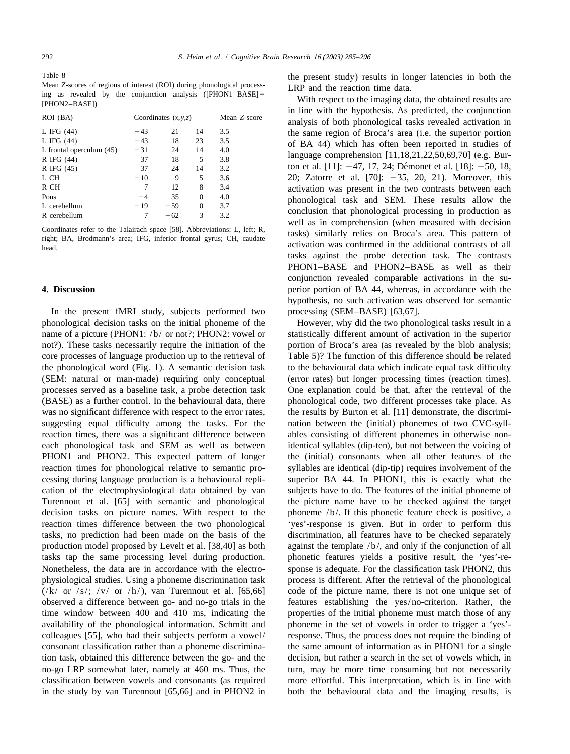Mean *Z*-scores of regions of interest (ROI) during phonological process-<br>ing as revealed by the conjunction analysis ([PHON1–BASE]+<br>With generate to the imaging data.

| ROI (BA)                   |       | Coordinates $(x, y, z)$ |          | Mean Z-score |  |
|----------------------------|-------|-------------------------|----------|--------------|--|
| L IFG $(44)$               | $-43$ | 21                      | 14       | 3.5          |  |
| L IFG $(44)$               | $-43$ | 18                      | 23       | 3.5          |  |
| L frontal operculum $(45)$ | $-31$ | 24                      | 14       | 4.0          |  |
| R IFG $(44)$               | 37    | 18                      | 5        | 3.8          |  |
| R IFG $(45)$               | 37    | 24                      | 14       | 3.2          |  |
| L CH                       | $-10$ | 9                       | 5        | 3.6          |  |
| R CH                       | 7     | 12                      | 8        | 3.4          |  |
| Pons                       | $-4$  | 35                      | $\Omega$ | 4.0          |  |
| L cerebellum               | $-19$ | $-59$                   | $\Omega$ | 3.7          |  |
| R cerebellum               |       | $-62$                   | 3        | 3.2          |  |
|                            |       |                         |          |              |  |

In the present fMRI study, subjects performed two processing (SEM–BASE) [63,67]. phonological decision tasks on the initial phoneme of the However, why did the two phonological tasks result in a name of a picture (PHON1: /b/ or not?; PHON2: vowel or statistically different amount of activation in the superior not?). These tasks necessarily require the initiation of the portion of Broca's area (as revealed by the blob analysis; core processes of language production up to the retrieval of Table 5)? The function of this difference should be related the phonological word (Fig. 1). A semantic decision task to the behavioural data which indicate equal task difficulty (SEM: natural or man-made) requiring only conceptual (error rates) but longer processing times (reaction times). processes served as a baseline task, a probe detection task One explanation could be that, after the retrieval of the (BASE) as a further control. In the behavioural data, there phonological code, two different processes take place. As was no significant difference with respect to the error rates, the results by Burton et al. [11] demonstrate, the discrimisuggesting equal difficulty among the tasks. For the nation between the (initial) phonemes of two CVC-syllreaction times, there was a significant difference between ables consisting of different phonemes in otherwise noneach phonological task and SEM as well as between identical syllables (dip-ten), but not between the voicing of PHON1 and PHON2. This expected pattern of longer the (initial) consonants when all other features of the reaction times for phonological relative to semantic pro- syllables are identical (dip-tip) requires involvement of the cessing during language production is a behavioural repli- superior BA 44. In PHON1, this is exactly what the cation of the electrophysiological data obtained by van subjects have to do. The features of the initial phoneme of Turennout et al. [65] with semantic and phonological the picture name have to be checked against the target decision tasks on picture names. With respect to the phoneme /b/. If this phonetic feature check is positive, a reaction times difference between the two phonological 'yes'-response is given. But in order to perform this tasks, no prediction had been made on the basis of the discrimination, all features have to be checked separately production model proposed by Levelt et al. [38,40] as both against the template /b/, and only if the conjunction of all tasks tap the same processing level during production. phonetic features yields a positive result, the 'yes'-re-Nonetheless, the data are in accordance with the electro- sponse is adequate. For the classification task PHON2, this physiological studies. Using a phoneme discrimination task process is different. After the retrieval of the phonological  $(|k|$  or  $|s|$ ;  $|v|$  or  $|h|$ , van Turennout et al. [65,66] code of the picture name, there is not one unique set of observed a difference between go- and no-go trials in the features establishing the yes/no-criterion. Rather, the time window between 400 and 410 ms, indicating the properties of the initial phoneme must match those of any availability of the phonological information. Schmitt and phoneme in the set of vowels in order to trigger a 'yes' colleagues [55], who had their subjects perform a vowel/ response. Thus, the process does not require the binding of consonant classification rather than a phoneme discrimina- the same amount of information as in PHON1 for a single tion task, obtained this difference between the go- and the decision, but rather a search in the set of vowels which, in no-go LRP somewhat later, namely at 460 ms. Thus, the turn, may be more time consuming but not necessarily classification between vowels and consonants (as required more effortful. This interpretation, which is in line with in the study by van Turennout [65,66] and in PHON2 in both the behavioural data and the imaging results, is

Table 8 the present study) results in longer latencies in both the

Ing as revealed by the conjunction analysis ([PHON1–BASE]]<sup>1</sup> With respect to the imaging data, the obtained results are [PHON2–BASE]) in line with the hypothesis. As predicted, the conjunction analysis of both phonological tasks revealed activation in the same region of Broca's area (i.e. the superior portion of BA 44) which has often been reported in studies of language comprehension  $[11,18,21,22,50,69,70]$  (e.g. Burton et al. [11]:  $-47$ , 17, 24; Démonet et al. [18]:  $-50$ , 18, 20; Zatorre et al. [70]:  $-35$ , 20, 21). Moreover, this activation was present in the two contrasts between each phonological task and SEM. These results allow the conclusion that phonological processing in production as well as in comprehension (when measured with decision Coordinates refer to the Talairach space [58]. Abbreviations: L, left; R,<br>right; BA, Brodmann's area; IFG, inferior frontal gyrus; CH, caudate<br>head. activation was confirmed in the additional contrasts of all tasks against the probe detection task. The contrasts PHON1–BASE and PHON2–BASE as well as their conjunction revealed comparable activations in the su-**4. Discussion 1. Discussion** perior portion of BA 44, whereas, in accordance with the hypothesis, no such activation was observed for semantic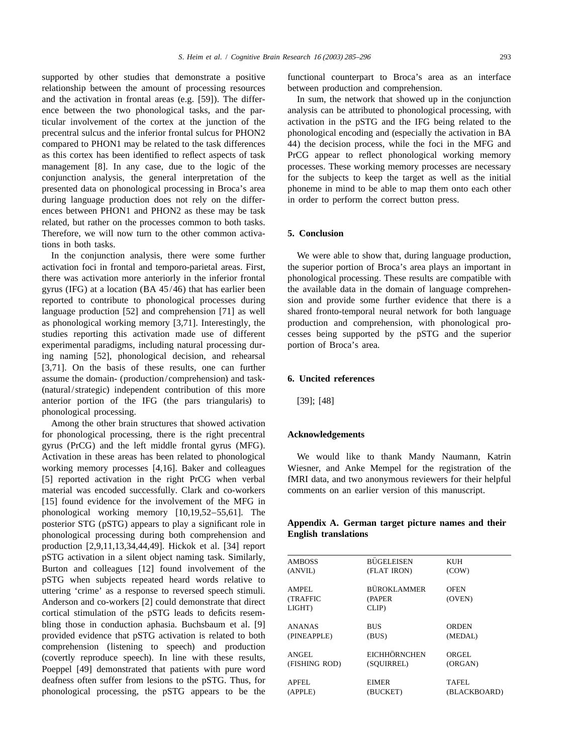supported by other studies that demonstrate a positive functional counterpart to Broca's area as an interface relationship between the amount of processing resources between production and comprehension. and the activation in frontal areas (e.g. [59]). The differ- In sum, the network that showed up in the conjunction ence between the two phonological tasks, and the par- analysis can be attributed to phonological processing, with ticular involvement of the cortex at the junction of the activation in the pSTG and the IFG being related to the precentral sulcus and the inferior frontal sulcus for PHON2 phonological encoding and (especially the activation in BA compared to PHON1 may be related to the task differences 44) the decision process, while the foci in the MFG and as this cortex has been identified to reflect aspects of task PrCG appear to reflect phonological working memory management [8]. In any case, due to the logic of the processes. These working memory processes are necessary conjunction analysis, the general interpretation of the for the subjects to keep the target as well as the initial presented data on phonological processing in Broca's area phoneme in mind to be able to map them onto each other during language production does not rely on the differ- in order to perform the correct button press. ences between PHON1 and PHON2 as these may be task related, but rather on the processes common to both tasks. Therefore, we will now turn to the other common activa- **5. Conclusion** tions in both tasks.

In the conjunction analysis, there were some further We were able to show that, during language production, activation foci in frontal and temporo-parietal areas. First, the superior portion of Broca's area plays an important in there was activation more anteriorly in the inferior frontal phonological processing. These results are compatible with gyrus (IFG) at a location (BA 45/46) that has earlier been the available data in the domain of language comprehenreported to contribute to phonological processes during sion and provide some further evidence that there is a language production [52] and comprehension [71] as well shared fronto-temporal neural network for both language as phonological working memory [3,71]. Interestingly, the production and comprehension, with phonological prostudies reporting this activation made use of different cesses being supported by the pSTG and the superior experimental paradigms, including natural processing dur- portion of Broca's area. ing naming [52], phonological decision, and rehearsal [3,71]. On the basis of these results, one can further assume the domain- (production/comprehension) and task- **6. Uncited references** (natural/strategic) independent contribution of this more anterior portion of the IFG (the pars triangularis) to [39]; [48] phonological processing.

Among the other brain structures that showed activation for phonological processing, there is the right precentral **Acknowledgements** gyrus (PrCG) and the left middle frontal gyrus (MFG). Activation in these areas has been related to phonological We would like to thank Mandy Naumann, Katrin working memory processes [4,16]. Baker and colleagues Wiesner, and Anke Mempel for the registration of the [5] reported activation in the right PrCG when verbal fMRI data, and two anonymous reviewers for their helpful material was encoded successfully. Clark and co-workers comments on an earlier version of this manuscript. [15] found evidence for the involvement of the MFG in phonological working memory [10,19,52–55,61]. The posterior STG (pSTG) appears to play a significant role in **A ppendix A. German target picture names and their** phonological processing during both comprehension and **English translations** production [2,9,11,13,34,44,49]. Hickok et al. [34] report pSTG activation in a silent object naming task. Similarly,  $\overline{A}$ Burton and colleagues  $[12]$  found involvement of the  $\overline{A}$ pSTG when subjects repeated heard words relative to uttering  $\text{``crime''}$  as a response to reversed speech stimuli. Anderson and co-workers [2] could demonstrate that direct cortical stimulation of the pSTG leads to deficits resembling those in conduction aphasia. Buchsbaum et al. [9] provided evidence that pSTG activation is related to both (RIP comprehension (listening to speech) and production (covertly reproduce speech). In line with these results,  $\frac{1}{2}$ <br>Poeppel [49] demonstrated that patients with pure word deafness often suffer from lesions to the pSTG. Thus, for  $\overline{A}$ phonological processing, the  $pSTG$  appears to be the  $\sqrt{G}$ 

| AMBOSS<br><b>ANVIL)</b>       | <b>BÜGELEISEN</b><br>(FLAT IRON)  | <b>KUH</b><br>(COW)     |
|-------------------------------|-----------------------------------|-------------------------|
| AMPEL                         | <b>BÜROKLAMMER</b>                | <b>OFEN</b>             |
| <b>TRAFFIC</b><br>LIGHT)      | (PAPER<br>CLIP                    | (OVEN)                  |
|                               |                                   |                         |
| ANANAS<br>PINEAPPLE)          | <b>BUS</b><br>(BUS)               | <b>ORDEN</b><br>(MEDAL) |
| ANGEL.<br><b>FISHING ROD)</b> | <b>EICHHÖRNCHEN</b><br>(SOUIRREL) | ORGEL<br>(ORGAN)        |
| <b>APFEL</b><br>APPLE)        | <b>EIMER</b><br>(BUCKET)          | TAFEL.<br>(BLACKBOARD)  |
|                               |                                   |                         |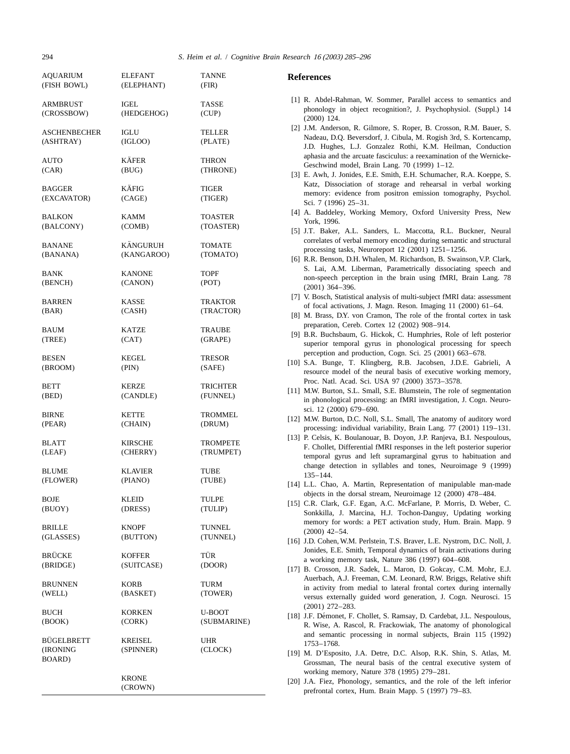| 119.1111.0111<br>(FISH BOWL)     | .<br>(ELEPHANT)             | (FIR)           |
|----------------------------------|-----------------------------|-----------------|
| ARMBRUST                         | IGEL                        | <b>TASSE</b>    |
| (CROSSBOW)                       | (HEDGEHOG)                  | (CUP)           |
| <b>ASCHENBECHER</b>              | IGLU                        | TELLER          |
| (ASHTRAY)                        | (IGLOO)                     | (PLATE)         |
| AUTO                             | <b>KÄFER</b>                | <b>THRON</b>    |
| (CAR)                            | (BUG)                       | (THRONE)        |
| BAGGER                           | KÄFIG                       | TIGER           |
| (EXCAVATOR)                      | (CAGE)                      | (TIGER)         |
| <b>BALKON</b>                    | KAMM                        | <b>TOASTER</b>  |
| (BALCONY)                        | (COMB)                      | (TOASTER)       |
| <b>BANANE</b>                    | KÄNGURUH                    | TOMATE          |
| (BANANA)                         | (KANGAROO)                  | (TOMATO)        |
| <b>BANK</b>                      | <b>KANONE</b>               | <b>TOPF</b>     |
| (BENCH)                          | (CANON)                     | (POT)           |
| BARREN                           | <b>KASSE</b>                | <b>TRAKTOR</b>  |
| (BAR)                            | (CASH)                      | (TRACTOR)       |
| BAUM                             | KATZE                       | <b>TRAUBE</b>   |
| (TREE)                           | (CAT)                       | (GRAPE)         |
| <b>BESEN</b>                     | KEGEL                       | <b>TRESOR</b>   |
| (BROOM)                          | (PIN)                       | (SAFE)          |
| <b>BETT</b>                      | <b>KERZE</b>                | <b>TRICHTER</b> |
| (BED)                            | (CANDLE)                    | (FUNNEL)        |
| <b>BIRNE</b>                     | <b>KETTE</b>                | <b>TROMMEL</b>  |
| (PEAR)                           | (CHAIN)                     | (DRUM)          |
| BLATT                            | <b>KIRSCHE</b>              | TROMPETE        |
| (LEAF)                           | (CHERRY)                    | (TRUMPET)       |
| <b>BLUME</b>                     | <b>KLAVIER</b>              | <b>TUBE</b>     |
| (FLOWER)                         | (PIANO)                     | (TUBE)          |
| BOJE                             | KLEID                       | TULPE           |
| (BUOY)                           | (DRESS)                     | (TULIP)         |
| <b>BRILLE</b>                    | <b>KNOPF</b>                | <b>TUNNEL</b>   |
| (GLASSES)                        | (BUTTON)                    | (TUNNEL)        |
| <b>BRÜCKE</b>                    | <b>KOFFER</b>               | TÜR             |
| (BRIDGE)                         | (SUITCASE)                  | (DOOR)          |
| BRUNNEN                          | <b>KORB</b>                 | TURM            |
| (WELL)                           | (BASKET)                    | (TOWER)         |
| BUCH                             | <b>KORKEN</b>               | U-BOOT          |
| (BOOK)                           | (CORK)                      | (SUBMARINE)     |
| BÜGELBRETT<br>(IRONING<br>BOARD) | <b>KREISEL</b><br>(SPINNER) | UHR<br>(CLOCK)  |
|                                  | <b>KRONE</b><br>(CROWN)     |                 |

- [1] R. Abdel-Rahman, W. Sommer, Parallel access to semantics and phonology in object recognition?, J. Psychophysiol. (Suppl.) 14 (2000) 124
- [2] J.M. Anderson, R. Gilmore, S. Roper, B. Crosson, R.M. Bauer, S. Nadeau, D.Q. Beversdorf, J. Cibula, M. Rogish 3rd, S. Kortencamp, J.D. Hughes, L.J. Gonzalez Rothi, K.M. Heilman, Conduction aphasia and the arcuate fasciculus: a reexamination of the Wernicke-<br>Geschwind model, Brain Lang. 70 (1999) 1–12.<br>[3] E. Awh, J. Jonides, E.E. Smith, E.H. Schumacher, R.A. Koeppe, S.
- Katz, Dissociation of storage and rehearsal in verbal working memory: evidence from positron emission tomography, Psychol. Sci. 7 (1996) 25–31.
- [4] A. Baddeley, Working Memory, Oxford University Press, New York, 1996.<br> [5] J.T. Baker, A.L. Sanders, L. Maccotta, R.L. Buckner, Neural
- correlates of verbal memory encoding during semantic and structural<br>processing tasks, Neuroreport 12 (2001) 1251–1256.<br>[6] R.R. Benson, D.H. Whalen, M. Richardson, B. Swainson, V.P. Clark.
- S. Lai, A.M. Liberman, Parametrically dissociating speech and non-speech perception in the brain using fMRI, Brain Lang. 78 (2001) 364–396.
- [7] V. Bosch, Statistical analysis of multi-subject fMRI data: assessment<br>of focal activations, J. Magn. Reson. Imaging 11 (2000) 61–64.<br>[8] M. Brass, D.Y. von Cramon, The role of the frontal cortex in task
- 
- preparation, Cereb. Cortex 12 (2002) 908–914.<br>
[9] B.R. Buchsbaum, G. Hickok, C. Humphries, Role of left posterior superior temporal gyrus in phonological processing for speech
- perception and production, Cogn. Sci. 25 (2001) 663–678.<br>[10] S.A. Bunge, T. Klingberg, R.B. Jacobsen, J.D.E. Gabrieli, A resource model of the neural basis of executive working memory,
- Proc. Natl. Acad. Sci. USA 97 (2000) 3573-3578.<br>[11] M.W. Burton, S.L. Small, S.E. Blumstein, The role of segmentation<br>in phonological processing: an fMRI investigation, J. Cogn. Neuro-
- sci. 12 (2000) 679–690.<br>[12] M.W. Burton, D.C. Noll, S.L. Small, The anatomy of auditory word processing: individual variability, Brain Lang. 77 (2001) 119–131.
- [13] P. Celsis, K. Boulanouar, B. Doyon, J.P. Ranjeva, B.I. Nespoulous, F. Chollet, Differential fMRI responses in the left posterior superior temporal gyrus and left supramarginal gyrus to habituation and change detection in syllables and tones, Neuroimage 9 (1999)  $135-144$
- [14] L.L. Chao, A. Martin, Representation of manipulable man-made
- objects in the dorsal stream, Neuroimage 12 (2000) 478–484.<br>[15] C.R. Clark, G.F. Egan, A.C. McFarlane, P. Morris, D. Weber, C. Sonkkilla, J. Marcina, H.J. Tochon-Danguy, Updating working memory for words: a PET activation study, Hum. Brain. Mapp. 9 (2000) 42–54. [16] J.D. Cohen, W.M. Perlstein, T.S. Braver, L.E. Nystrom, D.C. Noll, J.
- Jonides, E.E. Smith, Temporal dynamics of brain activations during<br>a working memory task, Nature 386 (1997) 604–608.<br>[17] B. Crosson, J.R. Sadek, L. Maron, D. Gokcay, C.M. Mohr, E.J.
- Auerbach, A.J. Freeman, C.M. Leonard, R.W. Briggs, Relative shift<br>in activity from medial to lateral frontal cortex during internally<br>versus externally guided word generation, J. Cogn. Neurosci. 15
- (2001) 272–283.<br>
[18] J.F. Démonet, F. Chollet, S. Ramsay, D. Cardebat, J.L. Nespoulous, R. Wise, A. Rascol, R. Frackowiak, The anatomy of phonological and semantic processing in normal subjects, Brain 115 (1992) 1753–1768.
- [19] M. D'Esposito, J.A. Detre, D.C. Alsop, R.K. Shin, S. Atlas, M. Grossman, The neural basis of the central executive system of
- working memory, Nature 378 (1995) 279–281.<br>[20] J.A. Fiez, Phonology, semantics, and the role of the left inferior prefrontal cortex, Hum. Brain Mapp. 5 (1997) 79–83.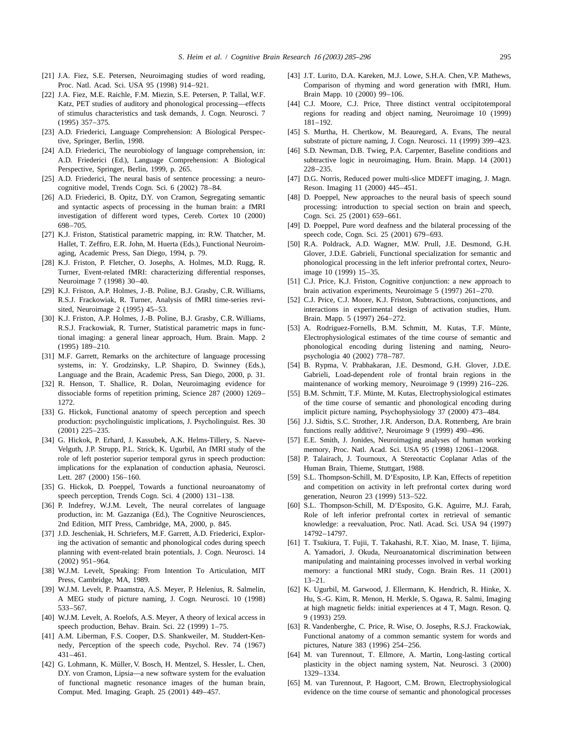- [21] J.A. Fiez, S.E. Petersen, Neuroimaging studies of word reading, [43] J.T. Lurito, D.A. Kareken, M.J. Lowe, S.H.A. Chen, V.P. Mathews,
- [22] J.A. Fiez, M.E. Raichle, F.M. Miezin, S.E. Petersen, P. Tallal, W.F. Brain Mapp. 10 (2000) 99–106. Katz, PET studies of auditory and phonological processing—effects [44] C.J. Moore, C.J. Price, Three distinct ventral occipitotemporal (1995) 357–375. 181–192.
- 
- Perspective, Springer, Berlin, 1999, p. 265. 228–235.
- cognitive model, Trends Cogn. Sci. 6 (2002) 78–84. Reson. Imaging 11 (2000) 445–451.
- investigation of different word types, Cereb. Cortex 10 (2000) Cogn. Sci. 25 (2001) 659–661. 698–705. [49] D. Poeppel, Pure word deafness and the bilateral processing of the
- [27] K.J. Friston, Statistical parametric mapping, in: R.W. Thatcher, M. speech code, Cogn. Sci. 25 (2001) 679-693. Hallet, T. Zeffiro, E.R. John, M. Huerta (Eds.), Functional Neuroim- [50] R.A. Poldrack, A.D. Wagner, M.W. Prull, J.E. Desmond, G.H.
- Turner, Event-related fMRI: characterizing differential responses, image 10 (1999) 15–35. Neuroimage 7 (1998) 30–40. [51] C.J. Price, K.J. Friston, Cognitive conjunction: a new approach to
- R.S.J. Frackowiak, R. Turner, Analysis of fMRI time-series revi- [52] C.J. Price, C.J. Moore, K.J. Friston, Subtractions, conjunctions, and
- [30] K.J. Friston, A.P. Holmes, J.-B. Poline, B.J. Grasby, C.R. Williams, Brain. Mapp. 5 (1997) 264–272. R.S.J. Frackowiak, R. Turner, Statistical parametric maps in func- [53] A. Rodriguez-Fornells, B.M. Schmitt, M. Kutas, T.F. Münte,
- [31] M.F. Garrett, Remarks on the architecture of language processing psychologia 40 (2002) 778–787. systems, in: Y. Grodzinsky, L.P. Shapiro, D. Swinney (Eds.), [54] B. Rypma, V. Prabhakaran, J.E. Desmond, G.H. Glover, J.D.E.
- dissociable forms of repetition priming, Science 287 (2000) 1269– [55] B.M. Schmitt, T.F. Münte, M. Kutas, Electrophysiological estimates
- (2001) 225–235. functions really additive?, Neuroimage 9 (1999) 490–496.
- role of left posterior superior temporal gyrus in speech production: [58] P. Talairach, J. Tournoux, A Stereotactic Coplanar Atlas of the implications for the explanation of conduction aphasia, Neurosci. Human Brain, Thieme, Stuttgart, 1988. Lett. 287 (2000) 156–160. [59] S.L. Thompson-Schill, M. D'Esposito, I.P. Kan, Effects of repetition
- speech perception, Trends Cogn. Sci. 4 (2000) 131–138. generation, Neuron 23 (1999) 513–522.
- [36] P. Indefrey, W.J.M. Levelt, The neural correlates of language [60] S.L. Thompson-Schill, M. D'Esposito, G.K. Aguirre, M.J. Farah,
- [37] J.D. Jescheniak, H. Schriefers, M.F. Garrett, A.D. Friederici, Explor- 14792–14797. ing the activation of semantic and phonological codes during speech [61] T. Tsukiura, T. Fujii, T. Takahashi, R.T. Xiao, M. Inase, T. Iijima,
- Press, Cambridge, MA, 1989. 13–21.
- [39] W.J.M. Levelt, P. Praamstra, A.S. Meyer, P. Helenius, R. Salmelin, [62] K. Ugurbil, M. Garwood, J. Ellermann, K. Hendrich, R. Hinke, X.
- [40] W.J.M. Levelt, A. Roelofs, A.S. Meyer, A theory of lexical access in 9 (1993) 259. speech production, Behav. Brain. Sci. 22 (1999) 1-75. [63] R. Vandenberghe, C. Price, R. Wise, O. Josephs, R.S.J. Frackowiak,
- nedy, Perception of the speech code, Psychol. Rev. 74 (1967) pictures, Nature 383 (1996) 254–256. 431–461. [64] M. van Turennout, T. Ellmore, A. Martin, Long-lasting cortical
- D.Y. von Cramon, Lipsia—a new software system for the evaluation 1329–1334. of functional magnetic resonance images of the human brain, [65] M. van Turennout, P. Hagoort, C.M. Brown, Electrophysiological
- Proc. Natl. Acad. Sci. USA 95 (1998) 914–921. Comparison of rhyming and word generation with fMRI, Hum.
- of stimulus characteristics and task demands, J. Cogn. Neurosci. 7 regions for reading and object naming, Neuroimage 10 (1999)
- [23] A.D. Friederici, Language Comprehension: A Biological Perspec- [45] S. Murtha, H. Chertkow, M. Beauregard, A. Evans, The neural tive, Springer, Berlin, 1998. substrate of picture naming, J. Cogn. Neurosci. 11 (1999) 399–423.
- [24] A.D. Friederici, The neurobiology of language comprehension, in: [46] S.D. Newman, D.B. Twieg, P.A. Carpenter, Baseline conditions and A.D. Friederici (Ed.), Language Comprehension: A Biological subtractive logic in neuroimaging, Hum. Brain. Mapp. 14 (2001)
- [25] A.D. Friederici, The neural basis of sentence processing: a neuro- [47] D.G. Norris, Reduced power multi-slice MDEFT imaging, J. Magn.
- [26] A.D. Friederici, B. Opitz, D.Y. von Cramon, Segregating semantic [48] D. Poeppel, New approaches to the neural basis of speech sound and syntactic aspects of processing in the human brain: a fMRI processing: introduction to special section on brain and speech,
	-
- aging, Academic Press, San Diego, 1994, p. 79. Glover, J.D.E. Gabrieli, Functional specialization for semantic and [28] K.J. Friston, P. Fletcher, O. Josephs, A. Holmes, M.D. Rugg, R. phonological processing in the left inferior prefrontal cortex, Neuro-
- [29] K.J. Friston, A.P. Holmes, J.-B. Poline, B.J. Grasby, C.R. Williams, brain activation experiments, Neuroimage 5 (1997) 261–270.
	- sited, Neuroimage 2 (1995) 45–53. interactions in experimental design of activation studies, Hum.
	- tional imaging: a general linear approach, Hum. Brain. Mapp. 2 Electrophysiological estimates of the time course of semantic and (1995) 189–210. phonological encoding during listening and naming, Neuro-
- Language and the Brain, Academic Press, San Diego, 2000, p. 31. Gabrieli, Load-dependent role of frontal brain regions in the [32] R. Henson, T. Shallice, R. Dolan, Neuroimaging evidence for maintenance of working memory, Neuroimage 9 (1999) 216–226.
- 1272. [33] G. Hickok, Functional anatomy of speech perception and speech implicit picture naming, Psychophysiology 37 (2000) 473–484.
	- production: psycholinguistic implications, J. Psycholinguist. Res. 30 [56] J.J. Sidtis, S.C. Strother, J.R. Anderson, D.A. Rottenberg, Are brain
- [34] G. Hickok, P. Erhard, J. Kassubek, A.K. Helms-Tillery, S. Naeve- [57] E.E. Smith, J. Jonides, Neuroimaging analyses of human working Velguth, J.P. Strupp, P.L. Strick, K. Ugurbil, An fMRI study of the memory, Proc. Natl. Acad. Sci. USA 95 (1998) 12061–12068.
	-
- [35] G. Hickok, D. Poeppel, Towards a functional neuroanatomy of and competition on activity in left prefrontal cortex during word
	- production, in: M. Gazzaniga (Ed.), The Cognitive Neurosciences, Role of left inferior prefrontal cortex in retrieval of semantic 2nd Edition, MIT Press, Cambridge, MA, 2000, p. 845. knowledge: a reevaluation, Proc. Natl. Acad. Sci. USA 94 (1997)
- planning with event-related brain potentials, J. Cogn. Neurosci. 14 A. Yamadori, J. Okuda, Neuroanatomical discrimination between (2002) 951–964. manipulating and maintaining processes involved in verbal working [38] W.J.M. Levelt, Speaking: From Intention To Articulation, MIT memory: a functional MRI study, Cogn. Brain Res. 11 (2001)
	- A MEG study of picture naming, J. Cogn. Neurosci. 10 (1998) Hu, S.-G. Kim, R. Menon, H. Merkle, S. Ogawa, R. Salmi, Imaging 533–567. at high magnetic fields: initial experiences at 4 T, Magn. Reson. Q.
- [41] A.M. Liberman, F.S. Cooper, D.S. Shankweiler, M. Studdert-Ken- Functional anatomy of a common semantic system for words and
- [42] G. Lohmann, K. Müller, V. Bosch, H. Mentzel, S. Hessler, L. Chen, plasticity in the object naming system, Nat. Neurosci. 3 (2000)
	- Comput. Med. Imaging. Graph. 25 (2001) 449–457. evidence on the time course of semantic and phonological processes